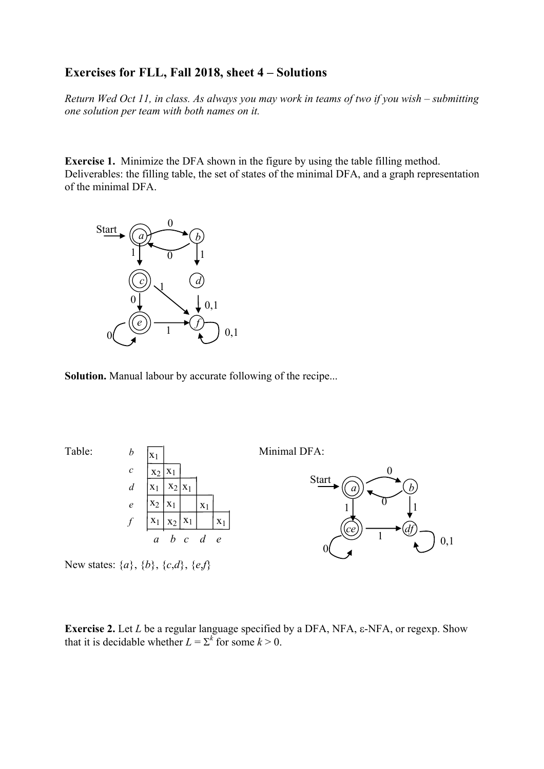## **Exercises for FLL, Fall 2018, sheet 4 – Solutions**

*Return Wed Oct 11, in class. As always you may work in teams of two if you wish – submitting one solution per team with both names on it.* 

**Exercise 1.** Minimize the DFA shown in the figure by using the table filling method. Deliverables: the filling table, the set of states of the minimal DFA, and a graph representation of the minimal DFA.



**Solution.** Manual labour by accurate following of the recipe...





New states: {*a*}, {*b*}, {*c*,*d*}, {*e*,*f*}

**Exercise 2.** Let *L* be a regular language specified by a DFA, NFA, e-NFA, or regexp. Show that it is decidable whether  $L = \sum^{k}$  for some  $k > 0$ .